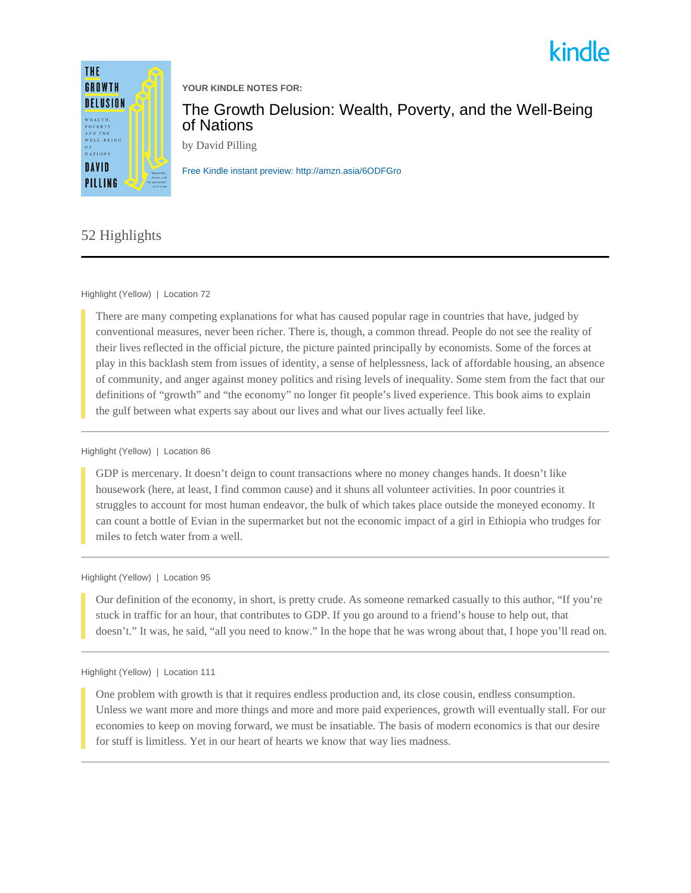



**YOUR KINDLE NOTES FOR:**

The Growth Delusion: Wealth, Poverty, and the Well-Being of Nations

by David Pilling

[Free Kindle instant preview: http://amzn.asia/6ODFGro](http://amzn.asia/6ODFGro)

# 52 Highlights

#### Highlight (Yellow) | Location 72

There are many competing explanations for what has caused popular rage in countries that have, judged by conventional measures, never been richer. There is, though, a common thread. People do not see the reality of their lives reflected in the official picture, the picture painted principally by economists. Some of the forces at play in this backlash stem from issues of identity, a sense of helplessness, lack of affordable housing, an absence of community, and anger against money politics and rising levels of inequality. Some stem from the fact that our definitions of "growth" and "the economy" no longer fit people's lived experience. This book aims to explain the gulf between what experts say about our lives and what our lives actually feel like.

#### Highlight (Yellow) | Location 86

GDP is mercenary. It doesn't deign to count transactions where no money changes hands. It doesn't like housework (here, at least, I find common cause) and it shuns all volunteer activities. In poor countries it struggles to account for most human endeavor, the bulk of which takes place outside the moneyed economy. It can count a bottle of Evian in the supermarket but not the economic impact of a girl in Ethiopia who trudges for miles to fetch water from a well.

# Highlight (Yellow) | Location 95

Our definition of the economy, in short, is pretty crude. As someone remarked casually to this author, "If you're stuck in traffic for an hour, that contributes to GDP. If you go around to a friend's house to help out, that doesn't." It was, he said, "all you need to know." In the hope that he was wrong about that, I hope you'll read on.

#### Highlight (Yellow) | Location 111

One problem with growth is that it requires endless production and, its close cousin, endless consumption. Unless we want more and more things and more and more paid experiences, growth will eventually stall. For our economies to keep on moving forward, we must be insatiable. The basis of modern economics is that our desire for stuff is limitless. Yet in our heart of hearts we know that way lies madness.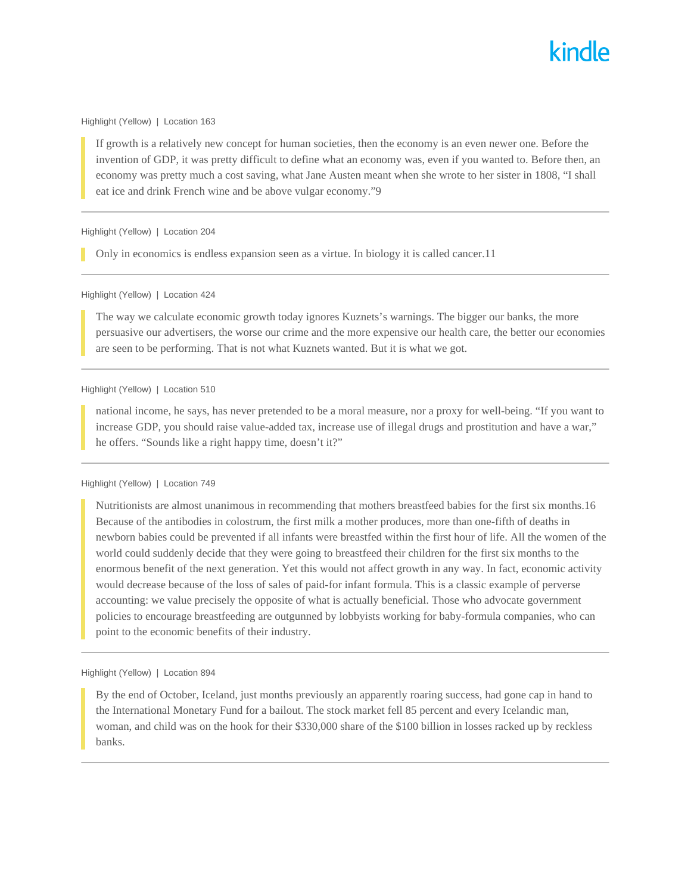#### Highlight (Yellow) | Location 163

If growth is a relatively new concept for human societies, then the economy is an even newer one. Before the invention of GDP, it was pretty difficult to define what an economy was, even if you wanted to. Before then, an economy was pretty much a cost saving, what Jane Austen meant when she wrote to her sister in 1808, "I shall eat ice and drink French wine and be above vulgar economy."9

### Highlight (Yellow) | Location 204

Only in economics is endless expansion seen as a virtue. In biology it is called cancer.11

### Highlight (Yellow) | Location 424

The way we calculate economic growth today ignores Kuznets's warnings. The bigger our banks, the more persuasive our advertisers, the worse our crime and the more expensive our health care, the better our economies are seen to be performing. That is not what Kuznets wanted. But it is what we got.

### Highlight (Yellow) | Location 510

national income, he says, has never pretended to be a moral measure, nor a proxy for well-being. "If you want to increase GDP, you should raise value-added tax, increase use of illegal drugs and prostitution and have a war," he offers. "Sounds like a right happy time, doesn't it?"

#### Highlight (Yellow) | Location 749

Nutritionists are almost unanimous in recommending that mothers breastfeed babies for the first six months.16 Because of the antibodies in colostrum, the first milk a mother produces, more than one-fifth of deaths in newborn babies could be prevented if all infants were breastfed within the first hour of life. All the women of the world could suddenly decide that they were going to breastfeed their children for the first six months to the enormous benefit of the next generation. Yet this would not affect growth in any way. In fact, economic activity would decrease because of the loss of sales of paid-for infant formula. This is a classic example of perverse accounting: we value precisely the opposite of what is actually beneficial. Those who advocate government policies to encourage breastfeeding are outgunned by lobbyists working for baby-formula companies, who can point to the economic benefits of their industry.

Highlight (Yellow) | Location 894

By the end of October, Iceland, just months previously an apparently roaring success, had gone cap in hand to the International Monetary Fund for a bailout. The stock market fell 85 percent and every Icelandic man, woman, and child was on the hook for their \$330,000 share of the \$100 billion in losses racked up by reckless banks.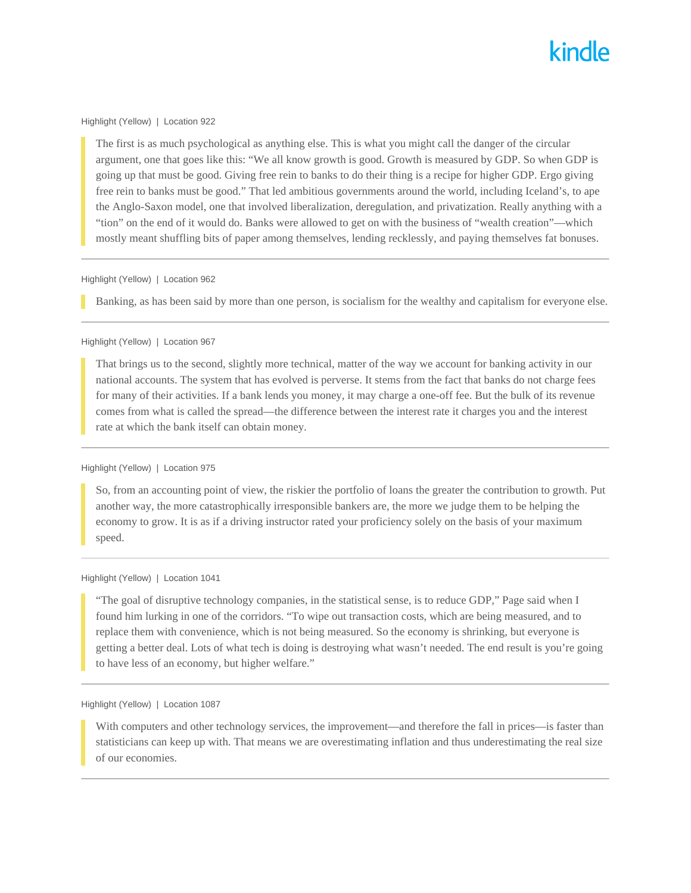#### Highlight (Yellow) | Location 922

The first is as much psychological as anything else. This is what you might call the danger of the circular argument, one that goes like this: "We all know growth is good. Growth is measured by GDP. So when GDP is going up that must be good. Giving free rein to banks to do their thing is a recipe for higher GDP. Ergo giving free rein to banks must be good." That led ambitious governments around the world, including Iceland's, to ape the Anglo-Saxon model, one that involved liberalization, deregulation, and privatization. Really anything with a "tion" on the end of it would do. Banks were allowed to get on with the business of "wealth creation"—which mostly meant shuffling bits of paper among themselves, lending recklessly, and paying themselves fat bonuses.

#### Highlight (Yellow) | Location 962

Banking, as has been said by more than one person, is socialism for the wealthy and capitalism for everyone else.

#### Highlight (Yellow) | Location 967

That brings us to the second, slightly more technical, matter of the way we account for banking activity in our national accounts. The system that has evolved is perverse. It stems from the fact that banks do not charge fees for many of their activities. If a bank lends you money, it may charge a one-off fee. But the bulk of its revenue comes from what is called the spread—the difference between the interest rate it charges you and the interest rate at which the bank itself can obtain money.

#### Highlight (Yellow) | Location 975

So, from an accounting point of view, the riskier the portfolio of loans the greater the contribution to growth. Put another way, the more catastrophically irresponsible bankers are, the more we judge them to be helping the economy to grow. It is as if a driving instructor rated your proficiency solely on the basis of your maximum speed.

#### Highlight (Yellow) | Location 1041

"The goal of disruptive technology companies, in the statistical sense, is to reduce GDP," Page said when I found him lurking in one of the corridors. "To wipe out transaction costs, which are being measured, and to replace them with convenience, which is not being measured. So the economy is shrinking, but everyone is getting a better deal. Lots of what tech is doing is destroying what wasn't needed. The end result is you're going to have less of an economy, but higher welfare."

#### Highlight (Yellow) | Location 1087

With computers and other technology services, the improvement—and therefore the fall in prices—is faster than statisticians can keep up with. That means we are overestimating inflation and thus underestimating the real size of our economies.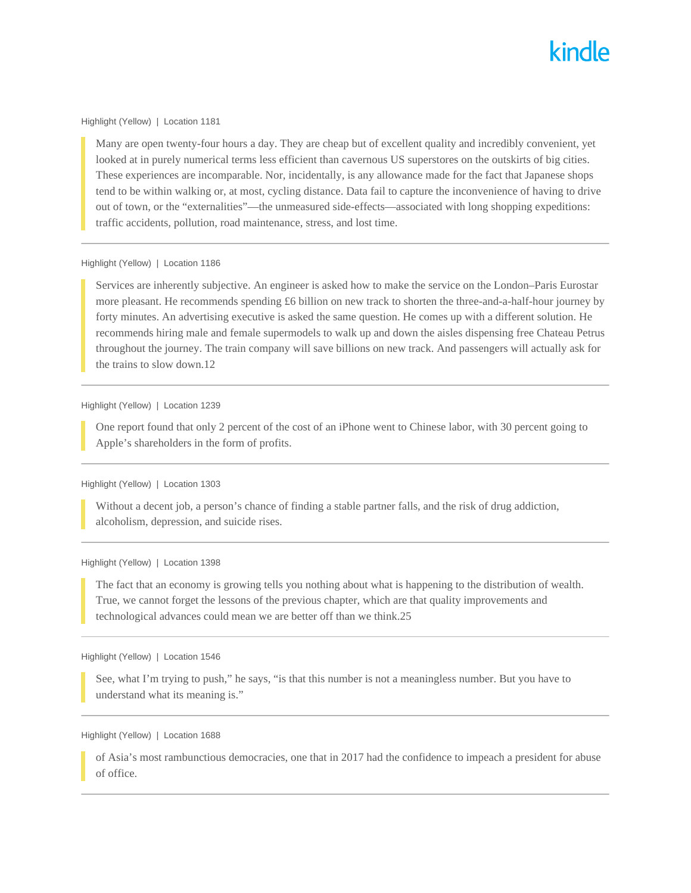#### Highlight (Yellow) | Location 1181

Many are open twenty-four hours a day. They are cheap but of excellent quality and incredibly convenient, yet looked at in purely numerical terms less efficient than cavernous US superstores on the outskirts of big cities. These experiences are incomparable. Nor, incidentally, is any allowance made for the fact that Japanese shops tend to be within walking or, at most, cycling distance. Data fail to capture the inconvenience of having to drive out of town, or the "externalities"—the unmeasured side-effects—associated with long shopping expeditions: traffic accidents, pollution, road maintenance, stress, and lost time.

#### Highlight (Yellow) | Location 1186

Services are inherently subjective. An engineer is asked how to make the service on the London–Paris Eurostar more pleasant. He recommends spending £6 billion on new track to shorten the three-and-a-half-hour journey by forty minutes. An advertising executive is asked the same question. He comes up with a different solution. He recommends hiring male and female supermodels to walk up and down the aisles dispensing free Chateau Petrus throughout the journey. The train company will save billions on new track. And passengers will actually ask for the trains to slow down.12

# Highlight (Yellow) | Location 1239

One report found that only 2 percent of the cost of an iPhone went to Chinese labor, with 30 percent going to Apple's shareholders in the form of profits.

#### Highlight (Yellow) | Location 1303

Without a decent job, a person's chance of finding a stable partner falls, and the risk of drug addiction, alcoholism, depression, and suicide rises.

# Highlight (Yellow) | Location 1398

The fact that an economy is growing tells you nothing about what is happening to the distribution of wealth. True, we cannot forget the lessons of the previous chapter, which are that quality improvements and technological advances could mean we are better off than we think.25

Highlight (Yellow) | Location 1546

See, what I'm trying to push," he says, "is that this number is not a meaningless number. But you have to understand what its meaning is."

#### Highlight (Yellow) | Location 1688

of Asia's most rambunctious democracies, one that in 2017 had the confidence to impeach a president for abuse of office.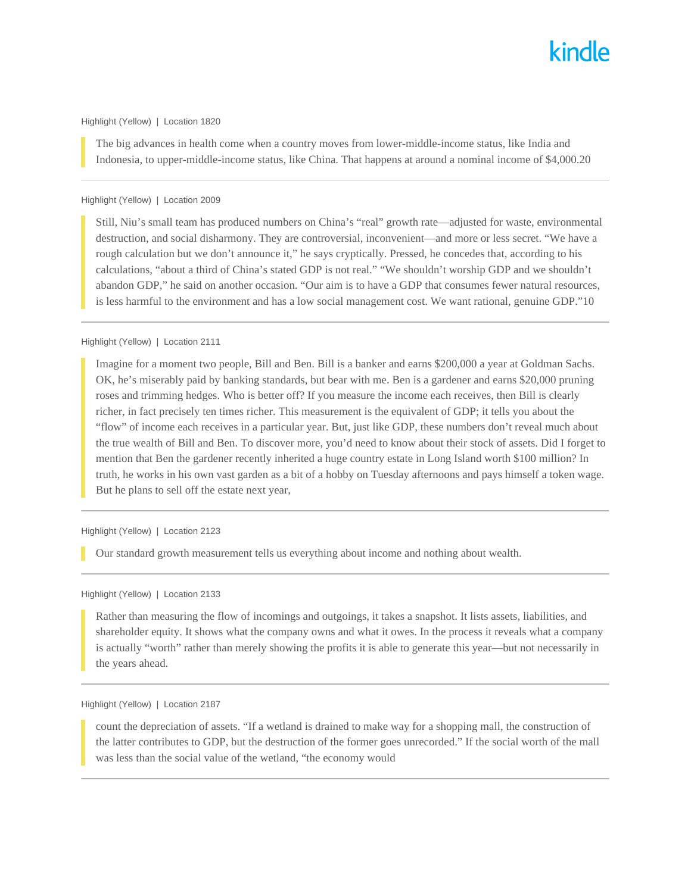#### Highlight (Yellow) | Location 1820

The big advances in health come when a country moves from lower-middle-income status, like India and Indonesia, to upper-middle-income status, like China. That happens at around a nominal income of \$4,000.20

#### Highlight (Yellow) | Location 2009

Still, Niu's small team has produced numbers on China's "real" growth rate—adjusted for waste, environmental destruction, and social disharmony. They are controversial, inconvenient—and more or less secret. "We have a rough calculation but we don't announce it," he says cryptically. Pressed, he concedes that, according to his calculations, "about a third of China's stated GDP is not real." "We shouldn't worship GDP and we shouldn't abandon GDP," he said on another occasion. "Our aim is to have a GDP that consumes fewer natural resources, is less harmful to the environment and has a low social management cost. We want rational, genuine GDP."10

#### Highlight (Yellow) | Location 2111

Imagine for a moment two people, Bill and Ben. Bill is a banker and earns \$200,000 a year at Goldman Sachs. OK, he's miserably paid by banking standards, but bear with me. Ben is a gardener and earns \$20,000 pruning roses and trimming hedges. Who is better off? If you measure the income each receives, then Bill is clearly richer, in fact precisely ten times richer. This measurement is the equivalent of GDP; it tells you about the "flow" of income each receives in a particular year. But, just like GDP, these numbers don't reveal much about the true wealth of Bill and Ben. To discover more, you'd need to know about their stock of assets. Did I forget to mention that Ben the gardener recently inherited a huge country estate in Long Island worth \$100 million? In truth, he works in his own vast garden as a bit of a hobby on Tuesday afternoons and pays himself a token wage. But he plans to sell off the estate next year,

#### Highlight (Yellow) | Location 2123

Our standard growth measurement tells us everything about income and nothing about wealth.

### Highlight (Yellow) | Location 2133

Rather than measuring the flow of incomings and outgoings, it takes a snapshot. It lists assets, liabilities, and shareholder equity. It shows what the company owns and what it owes. In the process it reveals what a company is actually "worth" rather than merely showing the profits it is able to generate this year—but not necessarily in the years ahead.

#### Highlight (Yellow) | Location 2187

count the depreciation of assets. "If a wetland is drained to make way for a shopping mall, the construction of the latter contributes to GDP, but the destruction of the former goes unrecorded." If the social worth of the mall was less than the social value of the wetland, "the economy would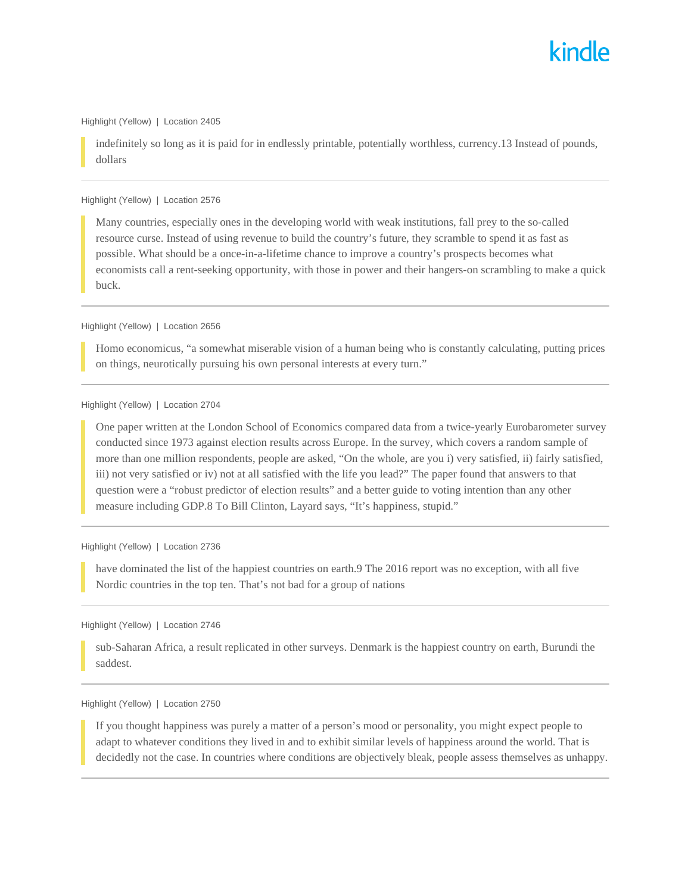#### Highlight (Yellow) | Location 2405

indefinitely so long as it is paid for in endlessly printable, potentially worthless, currency.13 Instead of pounds, dollars

#### Highlight (Yellow) | Location 2576

Many countries, especially ones in the developing world with weak institutions, fall prey to the so-called resource curse. Instead of using revenue to build the country's future, they scramble to spend it as fast as possible. What should be a once-in-a-lifetime chance to improve a country's prospects becomes what economists call a rent-seeking opportunity, with those in power and their hangers-on scrambling to make a quick buck.

# Highlight (Yellow) | Location 2656

Homo economicus, "a somewhat miserable vision of a human being who is constantly calculating, putting prices on things, neurotically pursuing his own personal interests at every turn."

# Highlight (Yellow) | Location 2704

One paper written at the London School of Economics compared data from a twice-yearly Eurobarometer survey conducted since 1973 against election results across Europe. In the survey, which covers a random sample of more than one million respondents, people are asked, "On the whole, are you i) very satisfied, ii) fairly satisfied, iii) not very satisfied or iv) not at all satisfied with the life you lead?" The paper found that answers to that question were a "robust predictor of election results" and a better guide to voting intention than any other measure including GDP.8 To Bill Clinton, Layard says, "It's happiness, stupid."

Highlight (Yellow) | Location 2736

have dominated the list of the happiest countries on earth.9 The 2016 report was no exception, with all five Nordic countries in the top ten. That's not bad for a group of nations

# Highlight (Yellow) | Location 2746

sub-Saharan Africa, a result replicated in other surveys. Denmark is the happiest country on earth, Burundi the saddest.

#### Highlight (Yellow) | Location 2750

If you thought happiness was purely a matter of a person's mood or personality, you might expect people to adapt to whatever conditions they lived in and to exhibit similar levels of happiness around the world. That is decidedly not the case. In countries where conditions are objectively bleak, people assess themselves as unhappy.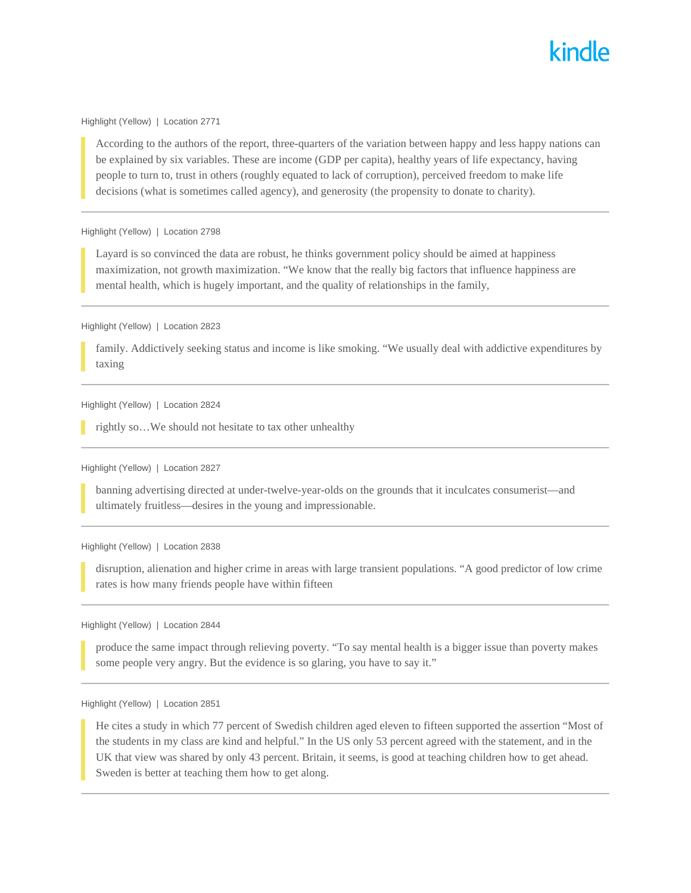#### Highlight (Yellow) | Location 2771

According to the authors of the report, three-quarters of the variation between happy and less happy nations can be explained by six variables. These are income (GDP per capita), healthy years of life expectancy, having people to turn to, trust in others (roughly equated to lack of corruption), perceived freedom to make life decisions (what is sometimes called agency), and generosity (the propensity to donate to charity).

#### Highlight (Yellow) | Location 2798

Layard is so convinced the data are robust, he thinks government policy should be aimed at happiness maximization, not growth maximization. "We know that the really big factors that influence happiness are mental health, which is hugely important, and the quality of relationships in the family,

#### Highlight (Yellow) | Location 2823

family. Addictively seeking status and income is like smoking. "We usually deal with addictive expenditures by taxing

# Highlight (Yellow) | Location 2824

rightly so…We should not hesitate to tax other unhealthy

### Highlight (Yellow) | Location 2827

banning advertising directed at under-twelve-year-olds on the grounds that it inculcates consumerist—and ultimately fruitless—desires in the young and impressionable.

#### Highlight (Yellow) | Location 2838

disruption, alienation and higher crime in areas with large transient populations. "A good predictor of low crime rates is how many friends people have within fifteen

# Highlight (Yellow) | Location 2844

produce the same impact through relieving poverty. "To say mental health is a bigger issue than poverty makes some people very angry. But the evidence is so glaring, you have to say it."

#### Highlight (Yellow) | Location 2851

He cites a study in which 77 percent of Swedish children aged eleven to fifteen supported the assertion "Most of the students in my class are kind and helpful." In the US only 53 percent agreed with the statement, and in the UK that view was shared by only 43 percent. Britain, it seems, is good at teaching children how to get ahead. Sweden is better at teaching them how to get along.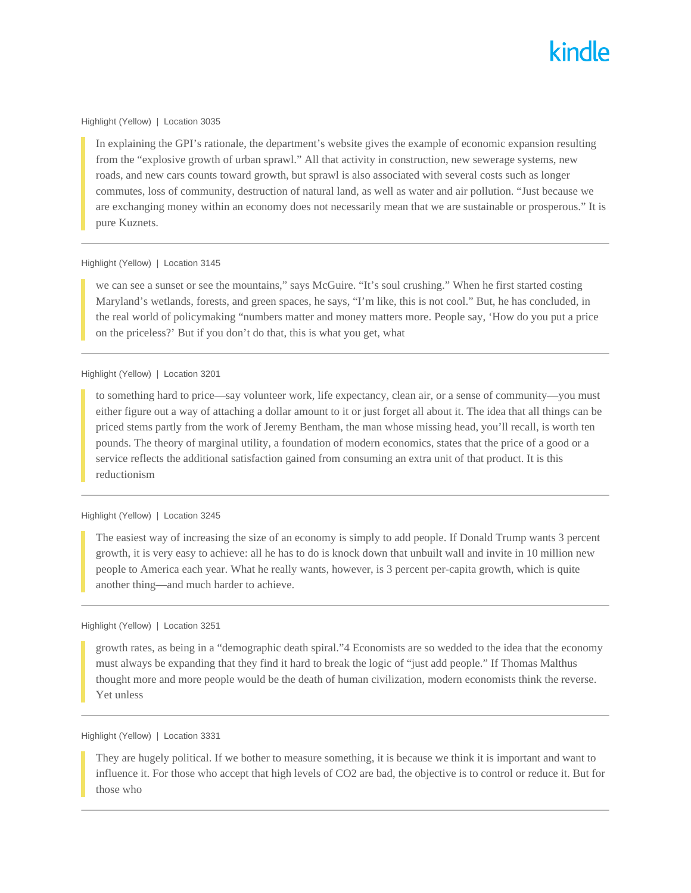#### Highlight (Yellow) | Location 3035

In explaining the GPI's rationale, the department's website gives the example of economic expansion resulting from the "explosive growth of urban sprawl." All that activity in construction, new sewerage systems, new roads, and new cars counts toward growth, but sprawl is also associated with several costs such as longer commutes, loss of community, destruction of natural land, as well as water and air pollution. "Just because we are exchanging money within an economy does not necessarily mean that we are sustainable or prosperous." It is pure Kuznets.

#### Highlight (Yellow) | Location 3145

we can see a sunset or see the mountains," says McGuire. "It's soul crushing." When he first started costing Maryland's wetlands, forests, and green spaces, he says, "I'm like, this is not cool." But, he has concluded, in the real world of policymaking "numbers matter and money matters more. People say, 'How do you put a price on the priceless?' But if you don't do that, this is what you get, what

### Highlight (Yellow) | Location 3201

to something hard to price—say volunteer work, life expectancy, clean air, or a sense of community—you must either figure out a way of attaching a dollar amount to it or just forget all about it. The idea that all things can be priced stems partly from the work of Jeremy Bentham, the man whose missing head, you'll recall, is worth ten pounds. The theory of marginal utility, a foundation of modern economics, states that the price of a good or a service reflects the additional satisfaction gained from consuming an extra unit of that product. It is this reductionism

# Highlight (Yellow) | Location 3245

The easiest way of increasing the size of an economy is simply to add people. If Donald Trump wants 3 percent growth, it is very easy to achieve: all he has to do is knock down that unbuilt wall and invite in 10 million new people to America each year. What he really wants, however, is 3 percent per-capita growth, which is quite another thing—and much harder to achieve.

# Highlight (Yellow) | Location 3251

growth rates, as being in a "demographic death spiral."4 Economists are so wedded to the idea that the economy must always be expanding that they find it hard to break the logic of "just add people." If Thomas Malthus thought more and more people would be the death of human civilization, modern economists think the reverse. Yet unless

#### Highlight (Yellow) | Location 3331

They are hugely political. If we bother to measure something, it is because we think it is important and want to influence it. For those who accept that high levels of CO2 are bad, the objective is to control or reduce it. But for those who